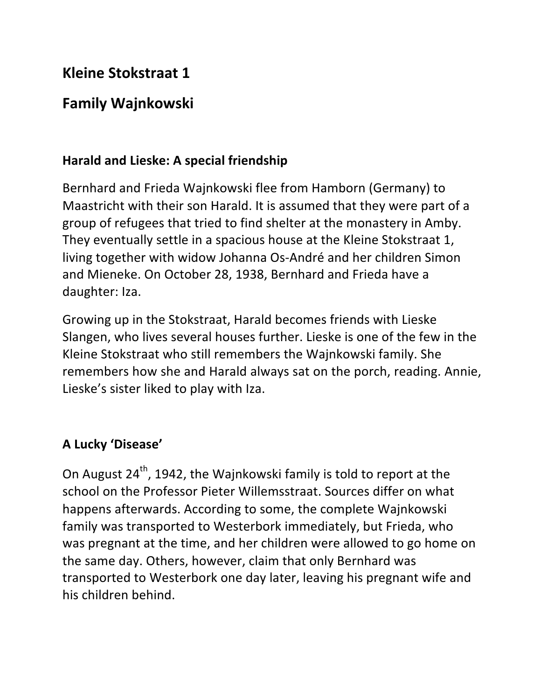# **Kleine Stokstraat 1**

# **Family Wajnkowski**

#### **Harald and Lieske: A special friendship**

Bernhard and Frieda Wajnkowski flee from Hamborn (Germany) to Maastricht with their son Harald. It is assumed that they were part of a group of refugees that tried to find shelter at the monastery in Amby. They eventually settle in a spacious house at the Kleine Stokstraat 1, living together with widow Johanna Os-André and her children Simon and Mieneke. On October 28, 1938, Bernhard and Frieda have a daughter: Iza.

Growing up in the Stokstraat, Harald becomes friends with Lieske Slangen, who lives several houses further. Lieske is one of the few in the Kleine Stokstraat who still remembers the Wajnkowski family. She remembers how she and Harald always sat on the porch, reading. Annie, Lieske's sister liked to play with Iza.

## **A Lucky 'Disease'**

On August  $24^{th}$ , 1942, the Wajnkowski family is told to report at the school on the Professor Pieter Willemsstraat. Sources differ on what happens afterwards. According to some, the complete Wajnkowski family was transported to Westerbork immediately, but Frieda, who was pregnant at the time, and her children were allowed to go home on the same day. Others, however, claim that only Bernhard was transported to Westerbork one day later, leaving his pregnant wife and his children hehind